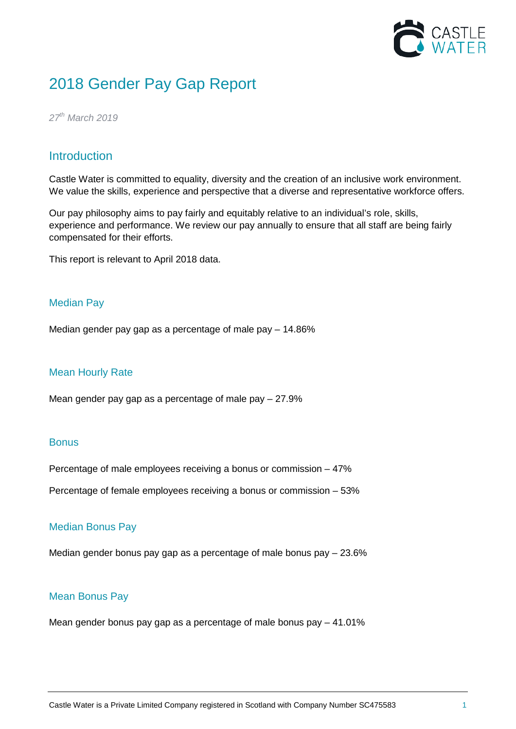

# 2018 Gender Pay Gap Report

*27th March 2019*

# **Introduction**

Castle Water is committed to equality, diversity and the creation of an inclusive work environment. We value the skills, experience and perspective that a diverse and representative workforce offers.

Our pay philosophy aims to pay fairly and equitably relative to an individual's role, skills, experience and performance. We review our pay annually to ensure that all staff are being fairly compensated for their efforts.

This report is relevant to April 2018 data.

## Median Pay

Median gender pay gap as a percentage of male pay – 14.86%

## Mean Hourly Rate

Mean gender pay gap as a percentage of male pay – 27.9%

#### **Bonus**

Percentage of male employees receiving a bonus or commission – 47%

Percentage of female employees receiving a bonus or commission – 53%

#### Median Bonus Pay

Median gender bonus pay gap as a percentage of male bonus pay – 23.6%

#### Mean Bonus Pay

Mean gender bonus pay gap as a percentage of male bonus pay – 41.01%